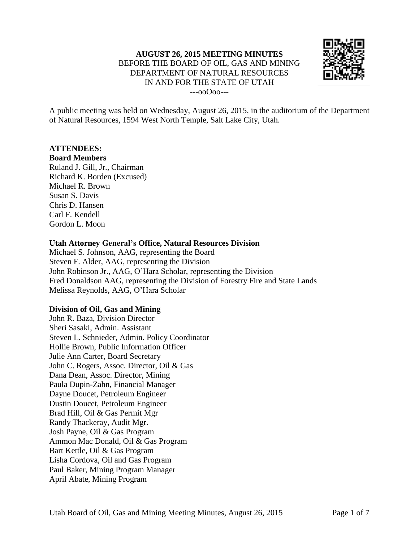

A public meeting was held on Wednesday, August 26, 2015, in the auditorium of the Department of Natural Resources, 1594 West North Temple, Salt Lake City, Utah.

#### **ATTENDEES:**

#### **Board Members**

Ruland J. Gill, Jr., Chairman Richard K. Borden (Excused) Michael R. Brown Susan S. Davis Chris D. Hansen Carl F. Kendell Gordon L. Moon

#### **Utah Attorney General's Office, Natural Resources Division**

Michael S. Johnson, AAG, representing the Board Steven F. Alder, AAG, representing the Division John Robinson Jr., AAG, O'Hara Scholar, representing the Division Fred Donaldson AAG, representing the Division of Forestry Fire and State Lands Melissa Reynolds, AAG, O'Hara Scholar

### **Division of Oil, Gas and Mining**

John R. Baza, Division Director Sheri Sasaki, Admin. Assistant Steven L. Schnieder, Admin. Policy Coordinator Hollie Brown, Public Information Officer Julie Ann Carter, Board Secretary John C. Rogers, Assoc. Director, Oil & Gas Dana Dean, Assoc. Director, Mining Paula Dupin-Zahn, Financial Manager Dayne Doucet, Petroleum Engineer Dustin Doucet, Petroleum Engineer Brad Hill, Oil & Gas Permit Mgr Randy Thackeray, Audit Mgr. Josh Payne, Oil & Gas Program Ammon Mac Donald, Oil & Gas Program Bart Kettle, Oil & Gas Program Lisha Cordova, Oil and Gas Program Paul Baker, Mining Program Manager April Abate, Mining Program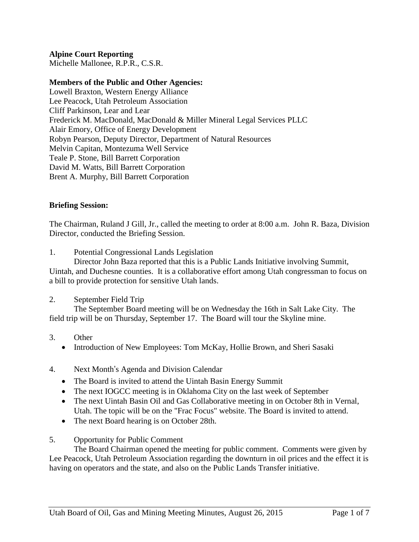**Alpine Court Reporting**

Michelle Mallonee, R.P.R., C.S.R.

## **Members of the Public and Other Agencies:**

Lowell Braxton, Western Energy Alliance Lee Peacock, Utah Petroleum Association Cliff Parkinson, Lear and Lear Frederick M. MacDonald, MacDonald & Miller Mineral Legal Services PLLC Alair Emory, Office of Energy Development Robyn Pearson, Deputy Director, Department of Natural Resources Melvin Capitan, Montezuma Well Service Teale P. Stone, Bill Barrett Corporation David M. Watts, Bill Barrett Corporation Brent A. Murphy, Bill Barrett Corporation

### **Briefing Session:**

The Chairman, Ruland J Gill, Jr., called the meeting to order at 8:00 a.m. John R. Baza, Division Director, conducted the Briefing Session.

1. Potential Congressional Lands Legislation

Director John Baza reported that this is a Public Lands Initiative involving Summit, Uintah, and Duchesne counties. It is a collaborative effort among Utah congressman to focus on a bill to provide protection for sensitive Utah lands.

2. September Field Trip

The September Board meeting will be on Wednesday the 16th in Salt Lake City. The field trip will be on Thursday, September 17. The Board will tour the Skyline mine.

- 3. Other
	- Introduction of New Employees: Tom McKay, Hollie Brown, and Sheri Sasaki

# 4. Next Month's Agenda and Division Calendar

- The Board is invited to attend the Uintah Basin Energy Summit
- The next IOGCC meeting is in Oklahoma City on the last week of September
- The next Uintah Basin Oil and Gas Collaborative meeting in on October 8th in Vernal, Utah. The topic will be on the "Frac Focus" website. The Board is invited to attend.
- The next Board hearing is on October 28th.
- 5. Opportunity for Public Comment

The Board Chairman opened the meeting for public comment. Comments were given by Lee Peacock, Utah Petroleum Association regarding the downturn in oil prices and the effect it is having on operators and the state, and also on the Public Lands Transfer initiative.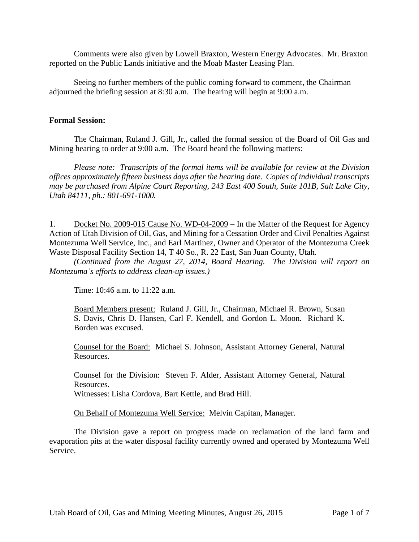Comments were also given by Lowell Braxton, Western Energy Advocates. Mr. Braxton reported on the Public Lands initiative and the Moab Master Leasing Plan.

Seeing no further members of the public coming forward to comment, the Chairman adjourned the briefing session at 8:30 a.m. The hearing will begin at 9:00 a.m.

### **Formal Session:**

The Chairman, Ruland J. Gill, Jr., called the formal session of the Board of Oil Gas and Mining hearing to order at 9:00 a.m. The Board heard the following matters:

*Please note: Transcripts of the formal items will be available for review at the Division offices approximately fifteen business days after the hearing date. Copies of individual transcripts may be purchased from Alpine Court Reporting, 243 East 400 South, Suite 101B, Salt Lake City, Utah 84111, ph.: 801-691-1000.*

1. Docket No. 2009-015 Cause No. WD-04-2009 – In the Matter of the Request for Agency Action of Utah Division of Oil, Gas, and Mining for a Cessation Order and Civil Penalties Against Montezuma Well Service, Inc., and Earl Martinez, Owner and Operator of the Montezuma Creek Waste Disposal Facility Section 14, T 40 So., R. 22 East, San Juan County, Utah.

*(Continued from the August 27, 2014, Board Hearing. The Division will report on Montezuma's efforts to address clean-up issues.)*

Time: 10:46 a.m. to 11:22 a.m.

Board Members present: Ruland J. Gill, Jr., Chairman, Michael R. Brown, Susan S. Davis, Chris D. Hansen, Carl F. Kendell, and Gordon L. Moon. Richard K. Borden was excused.

Counsel for the Board: Michael S. Johnson, Assistant Attorney General, Natural Resources.

Counsel for the Division: Steven F. Alder, Assistant Attorney General, Natural Resources. Witnesses: Lisha Cordova, Bart Kettle, and Brad Hill.

On Behalf of Montezuma Well Service: Melvin Capitan, Manager.

The Division gave a report on progress made on reclamation of the land farm and evaporation pits at the water disposal facility currently owned and operated by Montezuma Well Service.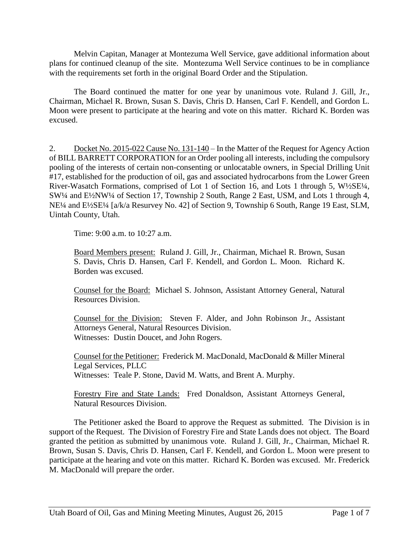Melvin Capitan, Manager at Montezuma Well Service, gave additional information about plans for continued cleanup of the site. Montezuma Well Service continues to be in compliance with the requirements set forth in the original Board Order and the Stipulation.

The Board continued the matter for one year by unanimous vote. Ruland J. Gill, Jr., Chairman, Michael R. Brown, Susan S. Davis, Chris D. Hansen, Carl F. Kendell, and Gordon L. Moon were present to participate at the hearing and vote on this matter. Richard K. Borden was excused.

2. Docket No. 2015-022 Cause No. 131-140 – In the Matter of the Request for Agency Action of BILL BARRETT CORPORATION for an Order pooling all interests, including the compulsory pooling of the interests of certain non-consenting or unlocatable owners, in Special Drilling Unit #17, established for the production of oil, gas and associated hydrocarbons from the Lower Green River-Wasatch Formations, comprised of Lot 1 of Section 16, and Lots 1 through 5, W½SE¼, SW¼ and E½NW¼ of Section 17, Township 2 South, Range 2 East, USM, and Lots 1 through 4, NE¼ and E½SE¼ [a/k/a Resurvey No. 42] of Section 9, Township 6 South, Range 19 East, SLM, Uintah County, Utah.

Time: 9:00 a.m. to 10:27 a.m.

Board Members present: Ruland J. Gill, Jr., Chairman, Michael R. Brown, Susan S. Davis, Chris D. Hansen, Carl F. Kendell, and Gordon L. Moon. Richard K. Borden was excused.

Counsel for the Board: Michael S. Johnson, Assistant Attorney General, Natural Resources Division.

Counsel for the Division: Steven F. Alder, and John Robinson Jr., Assistant Attorneys General, Natural Resources Division. Witnesses: Dustin Doucet, and John Rogers.

Counsel for the Petitioner: Frederick M. MacDonald, MacDonald & Miller Mineral Legal Services, PLLC Witnesses: Teale P. Stone, David M. Watts, and Brent A. Murphy.

Forestry Fire and State Lands: Fred Donaldson, Assistant Attorneys General, Natural Resources Division.

The Petitioner asked the Board to approve the Request as submitted. The Division is in support of the Request. The Division of Forestry Fire and State Lands does not object. The Board granted the petition as submitted by unanimous vote. Ruland J. Gill, Jr., Chairman, Michael R. Brown, Susan S. Davis, Chris D. Hansen, Carl F. Kendell, and Gordon L. Moon were present to participate at the hearing and vote on this matter. Richard K. Borden was excused. Mr. Frederick M. MacDonald will prepare the order.